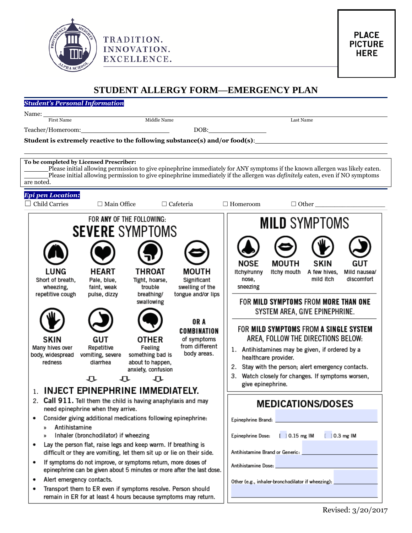

## **STUDENT ALLERGY FORM—EMERGENCY PLAN**

## *Student's Personal Information*

Name:

Teacher/Homeroom: DOB: DOB:

First Name Last Name and Middle Name and Middle Name and American control of the Last Name Last Name and America

**Student is extremely reactive to the following substance(s) and/or food(s)**:

TRADITION.

INNOVATION.

EXCELLENCE.